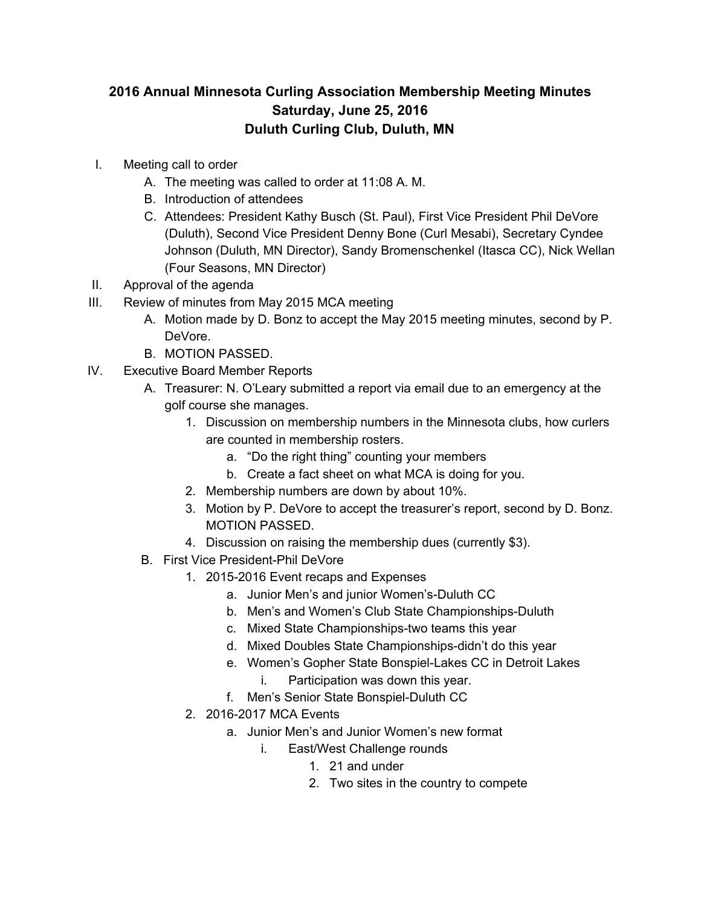## **2016 Annual Minnesota Curling Association Membership Meeting Minutes Saturday, June 25, 2016 Duluth Curling Club, Duluth, MN**

- I. Meeting call to order
	- A. The meeting was called to order at 11:08 A. M.
	- B. Introduction of attendees
	- C. Attendees: President Kathy Busch (St. Paul), First Vice President Phil DeVore (Duluth), Second Vice President Denny Bone (Curl Mesabi), Secretary Cyndee Johnson (Duluth, MN Director), Sandy Bromenschenkel (Itasca CC), Nick Wellan (Four Seasons, MN Director)
- II. Approval of the agenda
- III. Review of minutes from May 2015 MCA meeting
	- A. Motion made by D. Bonz to accept the May 2015 meeting minutes, second by P. DeVore.
	- B. MOTION PASSED.
- IV. Executive Board Member Reports
	- A. Treasurer: N. O'Leary submitted a report via email due to an emergency at the golf course she manages.
		- 1. Discussion on membership numbers in the Minnesota clubs, how curlers are counted in membership rosters.
			- a. "Do the right thing" counting your members
			- b. Create a fact sheet on what MCA is doing for you.
		- 2. Membership numbers are down by about 10%.
		- 3. Motion by P. DeVore to accept the treasurer's report, second by D. Bonz. MOTION PASSED.
		- 4. Discussion on raising the membership dues (currently \$3).
	- B. First Vice President-Phil DeVore
		- 1. 2015-2016 Event recaps and Expenses
			- a. Junior Men's and junior Women's-Duluth CC
			- b. Men's and Women's Club State Championships-Duluth
			- c. Mixed State Championships-two teams this year
			- d. Mixed Doubles State Championships-didn't do this year
			- e. Women's Gopher State Bonspiel-Lakes CC in Detroit Lakes
				- i. Participation was down this year.
			- f. Men's Senior State Bonspiel-Duluth CC
		- 2. 2016-2017 MCA Events
			- a. Junior Men's and Junior Women's new format
				- i. East/West Challenge rounds
					- 1. 21 and under
					- 2. Two sites in the country to compete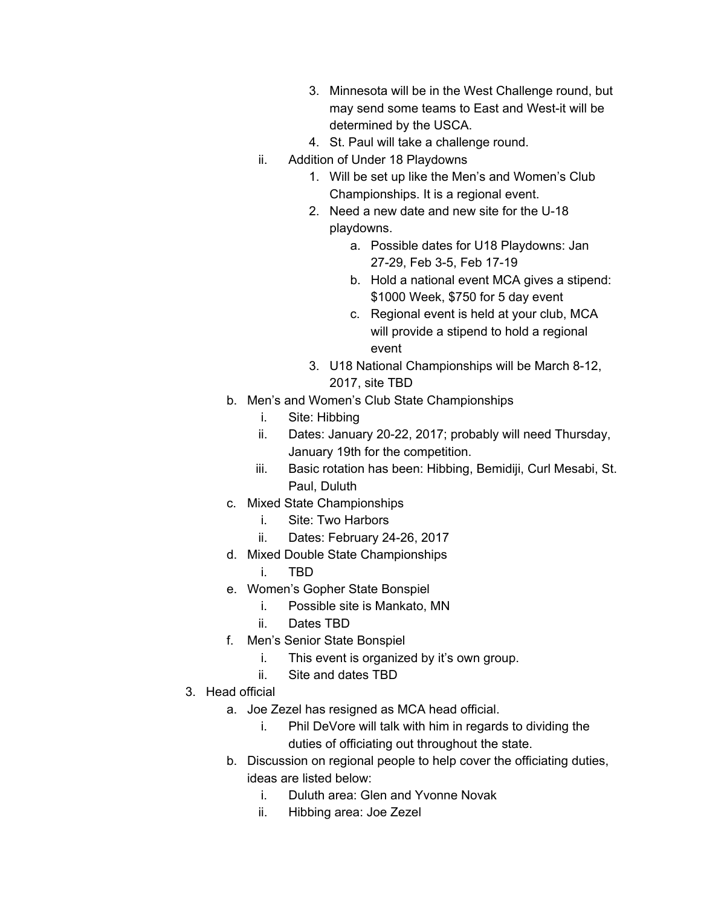- 3. Minnesota will be in the West Challenge round, but may send some teams to East and West-it will be determined by the USCA.
- 4. St. Paul will take a challenge round.
- ii. Addition of Under 18 Playdowns
	- 1. Will be set up like the Men's and Women's Club Championships. It is a regional event.
	- 2. Need a new date and new site for the U-18 playdowns.
		- a. Possible dates for U18 Playdowns: Jan 27-29, Feb 3-5, Feb 17-19
		- b. Hold a national event MCA gives a stipend: \$1000 Week, \$750 for 5 day event
		- c. Regional event is held at your club, MCA will provide a stipend to hold a regional event
	- 3. U18 National Championships will be March 8-12, 2017, site TBD
- b. Men's and Women's Club State Championships
	- i. Site: Hibbing
	- ii. Dates: January 20-22, 2017; probably will need Thursday, January 19th for the competition.
	- iii. Basic rotation has been: Hibbing, Bemidiji, Curl Mesabi, St. Paul, Duluth
- c. Mixed State Championships
	- i. Site: Two Harbors
	- ii. Dates: February 24-26, 2017
- d. Mixed Double State Championships
	- i. TBD
- e. Women's Gopher State Bonspiel
	- i. Possible site is Mankato, MN
	- ii. Dates TBD
- f. Men's Senior State Bonspiel
	- i. This event is organized by it's own group.
	- ii. Site and dates TBD
- 3. Head official
	- a. Joe Zezel has resigned as MCA head official.
		- i. Phil DeVore will talk with him in regards to dividing the duties of officiating out throughout the state.
	- b. Discussion on regional people to help cover the officiating duties, ideas are listed below:
		- i. Duluth area: Glen and Yvonne Novak
		- ii. Hibbing area: Joe Zezel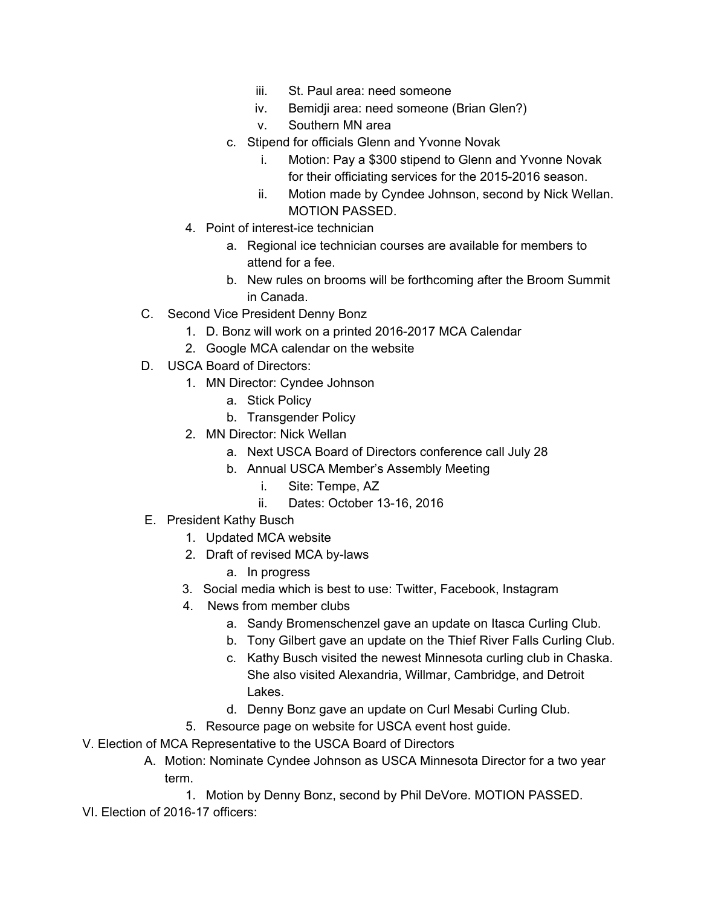- iii. St. Paul area: need someone
- iv. Bemidji area: need someone (Brian Glen?)
- v. Southern MN area
- c. Stipend for officials Glenn and Yvonne Novak
	- i. Motion: Pay a \$300 stipend to Glenn and Yvonne Novak for their officiating services for the 2015-2016 season.
	- ii. Motion made by Cyndee Johnson, second by Nick Wellan. MOTION PASSED.
- 4. Point of interest-ice technician
	- a. Regional ice technician courses are available for members to attend for a fee.
	- b. New rules on brooms will be forthcoming after the Broom Summit in Canada.
- C. Second Vice President Denny Bonz
	- 1. D. Bonz will work on a printed 2016-2017 MCA Calendar
	- 2. Google MCA calendar on the website
- D. USCA Board of Directors:
	- 1. MN Director: Cyndee Johnson
		- a. Stick Policy
		- b. Transgender Policy
	- 2. MN Director: Nick Wellan
		- a. Next USCA Board of Directors conference call July 28
		- b. Annual USCA Member's Assembly Meeting
			- i. Site: Tempe, AZ
			- ii. Dates: October 13-16, 2016
- E. President Kathy Busch
	- 1. Updated MCA website
	- 2. Draft of revised MCA by-laws
		- a. In progress
	- 3. Social media which is best to use: Twitter, Facebook, Instagram
	- 4. News from member clubs
		- a. Sandy Bromenschenzel gave an update on Itasca Curling Club.
		- b. Tony Gilbert gave an update on the Thief River Falls Curling Club.
		- c. Kathy Busch visited the newest Minnesota curling club in Chaska. She also visited Alexandria, Willmar, Cambridge, and Detroit Lakes.
		- d. Denny Bonz gave an update on Curl Mesabi Curling Club.
	- 5. Resource page on website for USCA event host guide.
- V. Election of MCA Representative to the USCA Board of Directors
	- A. Motion: Nominate Cyndee Johnson as USCA Minnesota Director for a two year term.
		- 1. Motion by Denny Bonz, second by Phil DeVore. MOTION PASSED.
- VI. Election of 2016-17 officers: